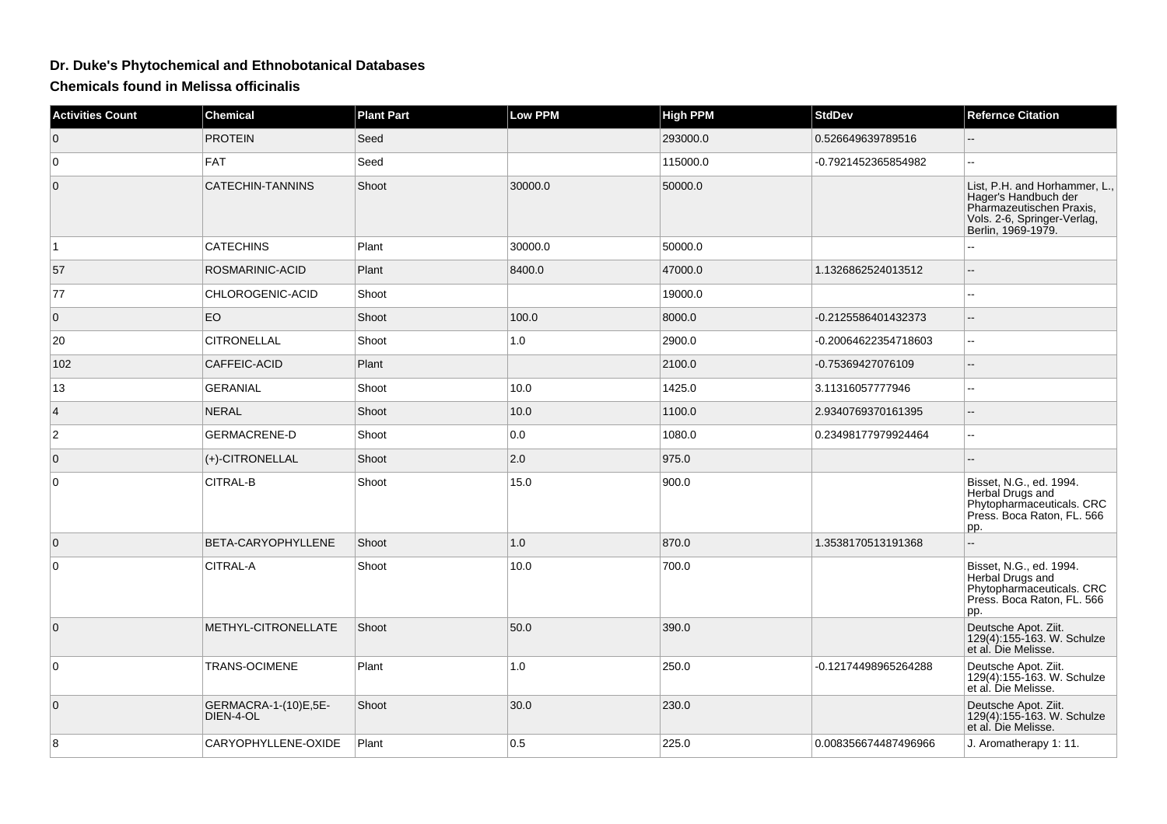## **Dr. Duke's Phytochemical and Ethnobotanical Databases**

**Chemicals found in Melissa officinalis**

| <b>Activities Count</b> | <b>Chemical</b>                   | <b>Plant Part</b> | <b>Low PPM</b> | <b>High PPM</b> | <b>StdDev</b>        | <b>Refernce Citation</b>                                                                                                               |
|-------------------------|-----------------------------------|-------------------|----------------|-----------------|----------------------|----------------------------------------------------------------------------------------------------------------------------------------|
| $\mathbf 0$             | <b>PROTEIN</b>                    | Seed              |                | 293000.0        | 0.526649639789516    | $-$                                                                                                                                    |
| $\mathbf 0$             | <b>FAT</b>                        | Seed              |                | 115000.0        | -0.7921452365854982  | ÷÷.                                                                                                                                    |
| $\mathbf{0}$            | CATECHIN-TANNINS                  | Shoot             | 30000.0        | 50000.0         |                      | List, P.H. and Horhammer, L.,<br>Hager's Handbuch der<br>Pharmazeutischen Praxis,<br>Vols. 2-6, Springer-Verlag,<br>Berlin, 1969-1979. |
| $\vert$ 1               | <b>CATECHINS</b>                  | Plant             | 30000.0        | 50000.0         |                      | L.                                                                                                                                     |
| 57                      | ROSMARINIC-ACID                   | Plant             | 8400.0         | 47000.0         | 1.1326862524013512   |                                                                                                                                        |
| 77                      | CHLOROGENIC-ACID                  | Shoot             |                | 19000.0         |                      |                                                                                                                                        |
| $\mathbf 0$             | EO                                | Shoot             | 100.0          | 8000.0          | -0.2125586401432373  | $\overline{a}$                                                                                                                         |
| 20                      | <b>CITRONELLAL</b>                | Shoot             | 1.0            | 2900.0          | -0.20064622354718603 | ÷÷.                                                                                                                                    |
| 102                     | CAFFEIC-ACID                      | Plant             |                | 2100.0          | -0.75369427076109    |                                                                                                                                        |
| 13                      | <b>GERANIAL</b>                   | Shoot             | 10.0           | 1425.0          | 3.11316057777946     | шш.                                                                                                                                    |
| $\overline{4}$          | <b>NERAL</b>                      | Shoot             | 10.0           | 1100.0          | 2.9340769370161395   | $-$                                                                                                                                    |
| $\overline{2}$          | <b>GERMACRENE-D</b>               | Shoot             | 0.0            | 1080.0          | 0.23498177979924464  | шш.                                                                                                                                    |
| $\mathbf{0}$            | (+)-CITRONELLAL                   | Shoot             | 2.0            | 975.0           |                      |                                                                                                                                        |
| 0                       | CITRAL-B                          | Shoot             | 15.0           | 900.0           |                      | Bisset, N.G., ed. 1994.<br>Herbal Drugs and<br>Phytopharmaceuticals. CRC<br>Press. Boca Raton, FL. 566<br>pp.                          |
| $\overline{0}$          | BETA-CARYOPHYLLENE                | Shoot             | 1.0            | 870.0           | 1.3538170513191368   | ۵.                                                                                                                                     |
| $\mathbf 0$             | CITRAL-A                          | Shoot             | 10.0           | 700.0           |                      | Bisset, N.G., ed. 1994.<br>Herbal Drugs and<br>Phytopharmaceuticals. CRC<br>Press. Boca Raton, FL. 566<br>pp.                          |
| $\mathbf 0$             | METHYL-CITRONELLATE               | Shoot             | 50.0           | 390.0           |                      | Deutsche Apot. Ziit.<br>$129(4):155-163.$ W. Schulze<br>et al. Die Melisse.                                                            |
| 0                       | TRANS-OCIMENE                     | Plant             | 1.0            | 250.0           | -0.12174498965264288 | Deutsche Apot. Ziit.<br>129(4):155-163. W. Schulze<br>et al. Die Melisse.                                                              |
| $\mathbf 0$             | GERMACRA-1-(10)E,5E-<br>DIEN-4-OL | Shoot             | 30.0           | 230.0           |                      | Deutsche Apot. Ziit.<br>129(4):155-163. W. Schulze<br>et al. Die Melisse.                                                              |
| 8                       | CARYOPHYLLENE-OXIDE               | Plant             | 0.5            | 225.0           | 0.008356674487496966 | J. Aromatherapy 1: 11.                                                                                                                 |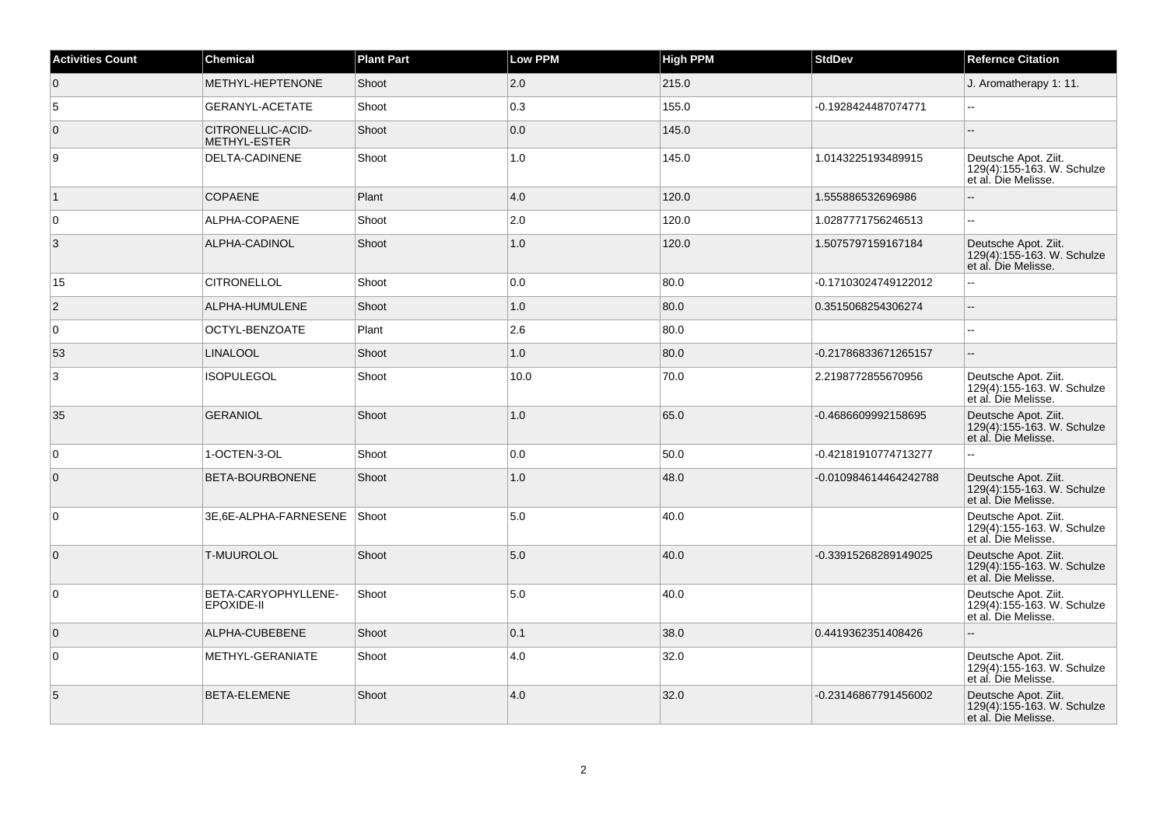| <b>Activities Count</b> | <b>Chemical</b>                   | <b>Plant Part</b> | Low PPM | <b>High PPM</b> | <b>StdDev</b>         | <b>Refernce Citation</b>                                                  |
|-------------------------|-----------------------------------|-------------------|---------|-----------------|-----------------------|---------------------------------------------------------------------------|
| $\overline{0}$          | METHYL-HEPTENONE                  | Shoot             | 2.0     | 215.0           |                       | J. Aromatherapy 1: 11.                                                    |
| 5                       | <b>GERANYL-ACETATE</b>            | Shoot             | 0.3     | 155.0           | -0.1928424487074771   | Ξ.                                                                        |
| $\overline{0}$          | CITRONELLIC-ACID-<br>METHYL-ESTER | Shoot             | 0.0     | 145.0           |                       | $\overline{\phantom{a}}$                                                  |
| 9                       | DELTA-CADINENE                    | Shoot             | 1.0     | 145.0           | 1.0143225193489915    | Deutsche Apot. Ziit.<br>129(4):155-163. W. Schulze<br>et al. Die Melisse. |
| $\overline{1}$          | <b>COPAENE</b>                    | Plant             | 4.0     | 120.0           | 1.555886532696986     | Ξ.                                                                        |
| $\overline{0}$          | ALPHA-COPAENE                     | Shoot             | 2.0     | 120.0           | 1.0287771756246513    | $\overline{\phantom{a}}$                                                  |
| 3                       | ALPHA-CADINOL                     | Shoot             | 1.0     | 120.0           | 1.5075797159167184    | Deutsche Apot. Ziit.<br>129(4):155-163. W. Schulze<br>et al. Die Melisse. |
| 15                      | <b>CITRONELLOL</b>                | Shoot             | 0.0     | 80.0            | -0.17103024749122012  | $\overline{a}$                                                            |
| $\overline{2}$          | ALPHA-HUMULENE                    | Shoot             | 1.0     | 80.0            | 0.3515068254306274    | $\overline{a}$                                                            |
| $\overline{0}$          | OCTYL-BENZOATE                    | Plant             | 2.6     | 80.0            |                       |                                                                           |
| 53                      | <b>LINALOOL</b>                   | Shoot             | 1.0     | 80.0            | -0.21786833671265157  |                                                                           |
| 3                       | <b>ISOPULEGOL</b>                 | Shoot             | 10.0    | 70.0            | 2.2198772855670956    | Deutsche Apot. Ziit.<br>129(4):155-163. W. Schulze<br>et al. Die Melisse. |
| 35                      | <b>GERANIOL</b>                   | Shoot             | 1.0     | 65.0            | -0.4686609992158695   | Deutsche Apot. Ziit.<br>129(4):155-163. W. Schulze<br>et al. Die Melisse. |
| $\overline{0}$          | 1-OCTEN-3-OL                      | Shoot             | 0.0     | 50.0            | -0.42181910774713277  |                                                                           |
| $\overline{0}$          | BETA-BOURBONENE                   | Shoot             | 1.0     | 48.0            | -0.010984614464242788 | Deutsche Apot. Ziit.<br>129(4):155-163. W. Schulze<br>et al. Die Melisse. |
| 0                       | 3E,6E-ALPHA-FARNESENE             | Shoot             | 5.0     | 40.0            |                       | Deutsche Apot. Ziit.<br>129(4):155-163. W. Schulze<br>et al. Die Melisse. |
| $\overline{0}$          | <b>T-MUUROLOL</b>                 | Shoot             | 5.0     | 40.0            | -0.33915268289149025  | Deutsche Apot. Ziit.<br>129(4):155-163. W. Schulze<br>et al. Die Melisse. |
| $\overline{0}$          | BETA-CARYOPHYLLENE-<br>EPOXIDE-II | Shoot             | 5.0     | 40.0            |                       | Deutsche Apot. Ziit.<br>129(4):155-163. W. Schulze<br>et al. Die Melisse. |
| $\overline{0}$          | ALPHA-CUBEBENE                    | Shoot             | 0.1     | 38.0            | 0.4419362351408426    | $-$                                                                       |
| $\overline{0}$          | METHYL-GERANIATE                  | Shoot             | 4.0     | 32.0            |                       | Deutsche Apot. Ziit.<br>129(4):155-163. W. Schulze<br>et al. Die Melisse. |
| $\sqrt{5}$              | BETA-ELEMENE                      | Shoot             | 4.0     | 32.0            | -0.23146867791456002  | Deutsche Apot. Ziit.<br>129(4):155-163. W. Schulze<br>et al. Die Melisse. |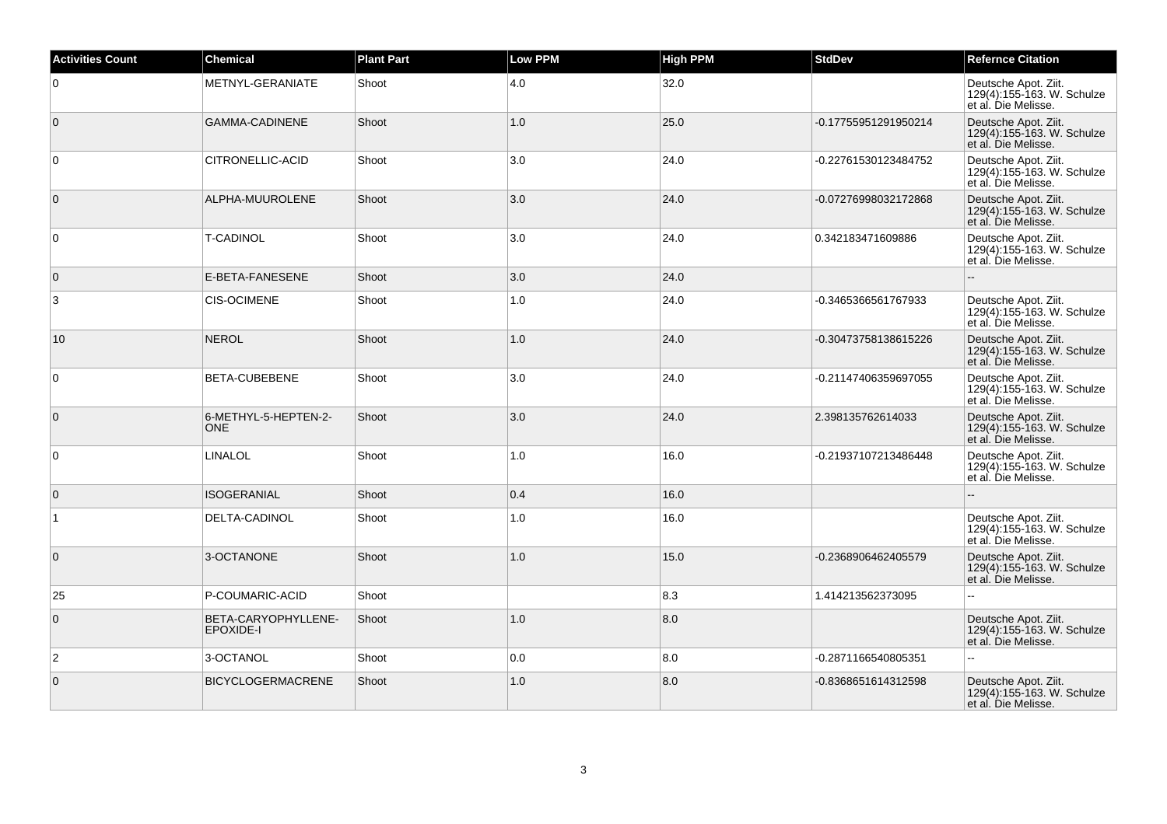| <b>Activities Count</b> | <b>Chemical</b>                    | <b>Plant Part</b> | <b>Low PPM</b> | <b>High PPM</b> | <b>StdDev</b>        | <b>Refernce Citation</b>                                                  |
|-------------------------|------------------------------------|-------------------|----------------|-----------------|----------------------|---------------------------------------------------------------------------|
| $\overline{0}$          | METNYL-GERANIATE                   | Shoot             | 4.0            | 32.0            |                      | Deutsche Apot. Ziit.<br>129(4):155-163. W. Schulze<br>et al. Die Melisse. |
| $\overline{0}$          | <b>GAMMA-CADINENE</b>              | Shoot             | 1.0            | 25.0            | -0.17755951291950214 | Deutsche Apot. Ziit.<br>129(4):155-163. W. Schulze<br>et al. Die Melisse. |
| 0                       | CITRONELLIC-ACID                   | Shoot             | 3.0            | 24.0            | -0.22761530123484752 | Deutsche Apot. Ziit.<br>129(4):155-163. W. Schulze<br>et al. Die Melisse. |
| $\overline{0}$          | ALPHA-MUUROLENE                    | Shoot             | 3.0            | 24.0            | -0.07276998032172868 | Deutsche Apot. Ziit.<br>129(4):155-163. W. Schulze<br>et al. Die Melisse. |
| $\overline{0}$          | <b>T-CADINOL</b>                   | Shoot             | 3.0            | 24.0            | 0.342183471609886    | Deutsche Apot. Ziit.<br>129(4):155-163. W. Schulze<br>et al. Die Melisse. |
| $\overline{0}$          | E-BETA-FANESENE                    | Shoot             | 3.0            | 24.0            |                      |                                                                           |
| 3                       | <b>CIS-OCIMENE</b>                 | Shoot             | 1.0            | 24.0            | -0.3465366561767933  | Deutsche Apot. Ziit.<br>129(4):155-163. W. Schulze<br>et al. Die Melisse. |
| 10                      | <b>NEROL</b>                       | Shoot             | 1.0            | 24.0            | -0.30473758138615226 | Deutsche Apot. Ziit.<br>129(4):155-163. W. Schulze<br>et al. Die Melisse. |
| $\overline{0}$          | BETA-CUBEBENE                      | Shoot             | 3.0            | 24.0            | -0.21147406359697055 | Deutsche Apot. Ziit.<br>129(4):155-163. W. Schulze<br>et al. Die Melisse. |
| $\overline{0}$          | 6-METHYL-5-HEPTEN-2-<br><b>ONE</b> | Shoot             | 3.0            | 24.0            | 2.398135762614033    | Deutsche Apot. Ziit.<br>129(4):155-163. W. Schulze<br>et al. Die Melisse. |
| 0                       | LINALOL                            | Shoot             | 1.0            | 16.0            | -0.21937107213486448 | Deutsche Apot. Ziit.<br>129(4):155-163. W. Schulze<br>et al. Die Melisse. |
| $\overline{0}$          | <b>ISOGERANIAL</b>                 | Shoot             | 0.4            | 16.0            |                      |                                                                           |
| $\overline{1}$          | DELTA-CADINOL                      | Shoot             | 1.0            | 16.0            |                      | Deutsche Apot. Ziit.<br>129(4):155-163. W. Schulze<br>et al. Die Melisse. |
| $\overline{0}$          | 3-OCTANONE                         | Shoot             | 1.0            | 15.0            | -0.2368906462405579  | Deutsche Apot. Ziit.<br>129(4):155-163. W. Schulze<br>et al. Die Melisse. |
| 25                      | P-COUMARIC-ACID                    | Shoot             |                | 8.3             | 1.414213562373095    |                                                                           |
| $\overline{0}$          | BETA-CARYOPHYLLENE-<br>EPOXIDE-I   | Shoot             | 1.0            | 8.0             |                      | Deutsche Apot. Ziit.<br>129(4):155-163. W. Schulze<br>et al. Die Melisse. |
| $\overline{2}$          | 3-OCTANOL                          | Shoot             | 0.0            | 8.0             | -0.2871166540805351  |                                                                           |
| $\overline{0}$          | <b>BICYCLOGERMACRENE</b>           | Shoot             | 1.0            | 8.0             | -0.8368651614312598  | Deutsche Apot. Ziit.<br>129(4):155-163. W. Schulze<br>et al. Die Melisse. |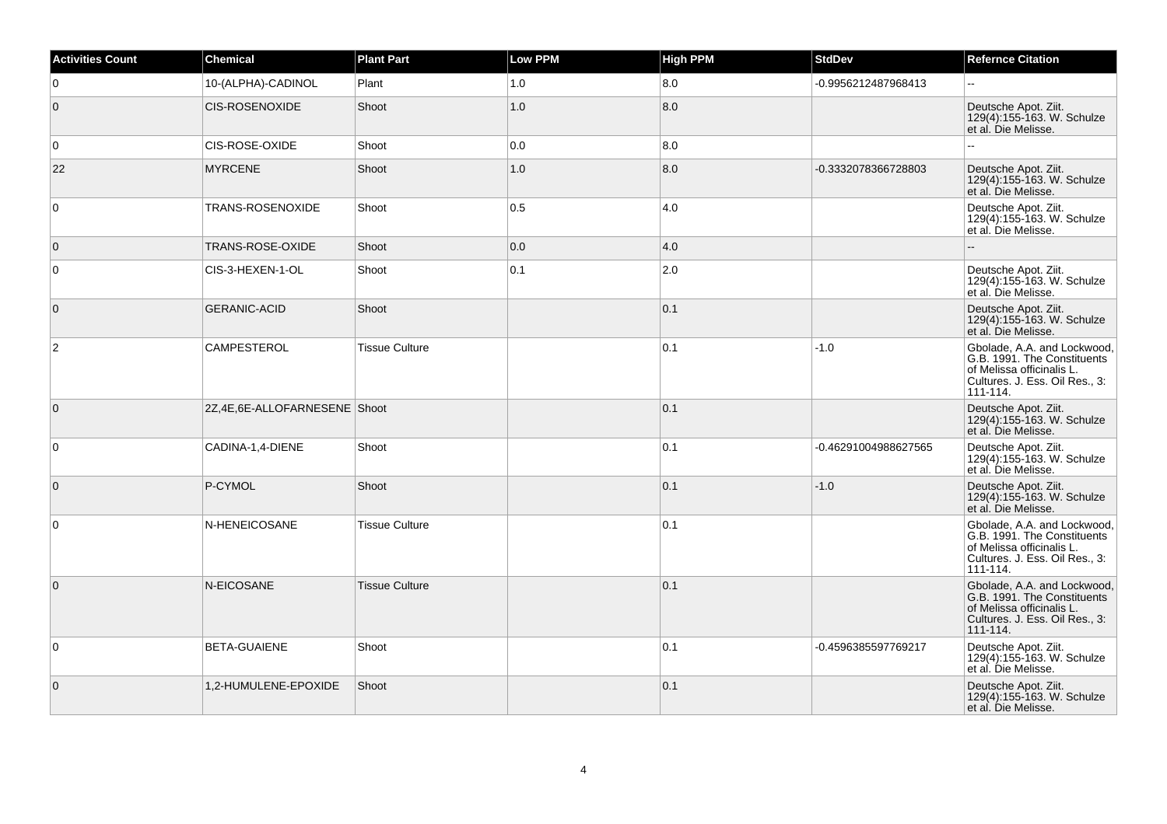| <b>Activities Count</b> | Chemical                     | <b>Plant Part</b>     | <b>Low PPM</b> | <b>High PPM</b> | <b>StdDev</b>        | <b>Refernce Citation</b>                                                                                                                  |
|-------------------------|------------------------------|-----------------------|----------------|-----------------|----------------------|-------------------------------------------------------------------------------------------------------------------------------------------|
| 0                       | 10-(ALPHA)-CADINOL           | Plant                 | 1.0            | 8.0             | -0.9956212487968413  | $\mathbf{u}$                                                                                                                              |
| $\mathbf 0$             | <b>CIS-ROSENOXIDE</b>        | Shoot                 | 1.0            | 8.0             |                      | Deutsche Apot. Ziit.<br>129(4):155-163. W. Schulze<br>et al. Die Melisse.                                                                 |
| 0                       | CIS-ROSE-OXIDE               | Shoot                 | 0.0            | 8.0             |                      | $\sim$                                                                                                                                    |
| 22                      | <b>MYRCENE</b>               | Shoot                 | 1.0            | 8.0             | -0.3332078366728803  | Deutsche Apot. Ziit.<br>129(4):155-163. W. Schulze<br>et al. Die Melisse.                                                                 |
| 0                       | <b>TRANS-ROSENOXIDE</b>      | Shoot                 | 0.5            | 4.0             |                      | Deutsche Apot. Ziit.<br>129(4):155-163. W. Schulze<br>et al. Die Melisse.                                                                 |
| $\mathbf{0}$            | TRANS-ROSE-OXIDE             | Shoot                 | 0.0            | 4.0             |                      |                                                                                                                                           |
| $\mathbf 0$             | CIS-3-HEXEN-1-OL             | Shoot                 | 0.1            | 2.0             |                      | Deutsche Apot. Ziit.<br>129(4):155-163. W. Schulze<br>et al. Die Melisse.                                                                 |
| $\mathbf 0$             | <b>GERANIC-ACID</b>          | Shoot                 |                | 0.1             |                      | Deutsche Apot. Ziit.<br>129(4):155-163. W. Schulze<br>et al. Die Melisse.                                                                 |
| $\overline{2}$          | CAMPESTEROL                  | <b>Tissue Culture</b> |                | 0.1             | $-1.0$               | Gbolade, A.A. and Lockwood,<br>G.B. 1991. The Constituents<br>of Melissa officinalis L.<br>Cultures. J. Ess. Oil Res., 3:<br>111-114.     |
| $\mathbf{0}$            | 2Z,4E,6E-ALLOFARNESENE Shoot |                       |                | 0.1             |                      | Deutsche Apot. Ziit.<br>129(4):155-163. W. Schulze<br>et al. Die Melisse.                                                                 |
| $\mathbf 0$             | CADINA-1,4-DIENE             | Shoot                 |                | 0.1             | -0.46291004988627565 | Deutsche Apot. Ziit.<br>129(4):155-163. W. Schulze<br>et al. Die Melisse.                                                                 |
| $\mathbf 0$             | P-CYMOL                      | Shoot                 |                | 0.1             | $-1.0$               | Deutsche Apot. Ziit.<br>129(4):155-163. W. Schulze<br>et al. Die Melisse.                                                                 |
| $\mathbf 0$             | N-HENEICOSANE                | <b>Tissue Culture</b> |                | 0.1             |                      | Gbolade, A.A. and Lockwood.<br>G.B. 1991. The Constituents<br>of Melissa officinalis L.<br>Cultures. J. Ess. Oil Res., 3:<br>$111 - 114.$ |
| $\mathbf{0}$            | N-EICOSANE                   | <b>Tissue Culture</b> |                | 0.1             |                      | Gbolade, A.A. and Lockwood,<br>G.B. 1991. The Constituents<br>of Melissa officinalis L.<br>Cultures. J. Ess. Oil Res., 3:<br>111-114.     |
| 0                       | <b>BETA-GUAIENE</b>          | Shoot                 |                | 0.1             | -0.4596385597769217  | Deutsche Apot. Ziit.<br>129(4):155-163. W. Schulze<br>et al. Die Melisse.                                                                 |
| $\mathbf 0$             | 1,2-HUMULENE-EPOXIDE         | Shoot                 |                | 0.1             |                      | Deutsche Apot. Ziit.<br>129(4):155-163. W. Schulze<br>et al. Die Melisse.                                                                 |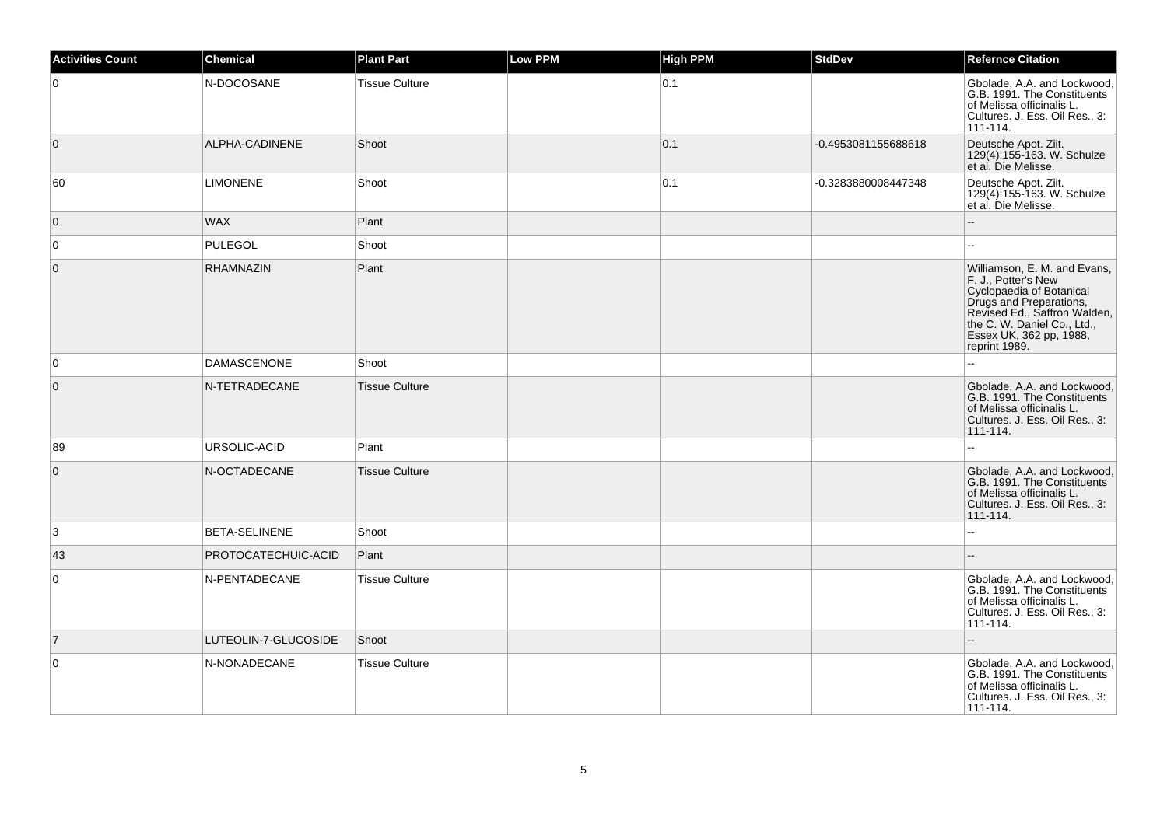| <b>Activities Count</b> | <b>Chemical</b>      | <b>Plant Part</b>     | <b>Low PPM</b> | <b>High PPM</b> | <b>StdDev</b>       | <b>Refernce Citation</b>                                                                                                                                                                                              |
|-------------------------|----------------------|-----------------------|----------------|-----------------|---------------------|-----------------------------------------------------------------------------------------------------------------------------------------------------------------------------------------------------------------------|
| $\mathbf 0$             | N-DOCOSANE           | <b>Tissue Culture</b> |                | 0.1             |                     | Gbolade, A.A. and Lockwood,<br>G.B. 1991. The Constituents<br>of Melissa officinalis L.<br>Cultures. J. Ess. Oil Res., 3:<br>111-114.                                                                                 |
| $\mathbf 0$             | ALPHA-CADINENE       | Shoot                 |                | 0.1             | -0.4953081155688618 | Deutsche Apot. Ziit.<br>129(4):155-163. W. Schulze<br>et al. Die Melisse.                                                                                                                                             |
| 60                      | <b>LIMONENE</b>      | Shoot                 |                | 0.1             | -0.3283880008447348 | Deutsche Apot. Ziit.<br>129(4):155-163. W. Schulze<br>et al. Die Melisse.                                                                                                                                             |
| $\mathbf{0}$            | <b>WAX</b>           | Plant                 |                |                 |                     |                                                                                                                                                                                                                       |
| $\mathbf 0$             | <b>PULEGOL</b>       | Shoot                 |                |                 |                     | $\sim$                                                                                                                                                                                                                |
| $\mathbf{0}$            | <b>RHAMNAZIN</b>     | Plant                 |                |                 |                     | Williamson, E. M. and Evans,<br>F. J., Potter's New<br>Cyclopaedia of Botanical<br>Drugs and Preparations,<br>Revised Ed., Saffron Walden,<br>the C. W. Daniel Co., Ltd.,<br>Essex UK, 362 pp, 1988,<br>reprint 1989. |
| 0                       | <b>DAMASCENONE</b>   | Shoot                 |                |                 |                     |                                                                                                                                                                                                                       |
| $\boldsymbol{0}$        | N-TETRADECANE        | <b>Tissue Culture</b> |                |                 |                     | Gbolade, A.A. and Lockwood.<br>G.B. 1991. The Constituents<br>of Melissa officinalis L.<br>Cultures. J. Ess. Oil Res., 3:<br>111-114.                                                                                 |
| 89                      | URSOLIC-ACID         | Plant                 |                |                 |                     |                                                                                                                                                                                                                       |
| $\mathbf{0}$            | N-OCTADECANE         | <b>Tissue Culture</b> |                |                 |                     | Gbolade, A.A. and Lockwood.<br>G.B. 1991. The Constituents<br>of Melissa officinalis L.<br>Cultures. J. Ess. Oil Res., 3:<br>111-114.                                                                                 |
| 3                       | <b>BETA-SELINENE</b> | Shoot                 |                |                 |                     | --                                                                                                                                                                                                                    |
| 43                      | PROTOCATECHUIC-ACID  | Plant                 |                |                 |                     |                                                                                                                                                                                                                       |
| $\mathbf 0$             | N-PENTADECANE        | <b>Tissue Culture</b> |                |                 |                     | Gbolade, A.A. and Lockwood,<br>G.B. 1991. The Constituents<br>of Melissa officinalis L.<br>Cultures. J. Ess. Oil Res., 3:<br>111-114.                                                                                 |
| $\vert$ 7               | LUTEOLIN-7-GLUCOSIDE | Shoot                 |                |                 |                     | $\overline{a}$                                                                                                                                                                                                        |
| $\mathbf 0$             | N-NONADECANE         | <b>Tissue Culture</b> |                |                 |                     | Gbolade, A.A. and Lockwood,<br>G.B. 1991. The Constituents<br>of Melissa officinalis L.<br>Cultures. J. Ess. Oil Res., 3:<br>111-114.                                                                                 |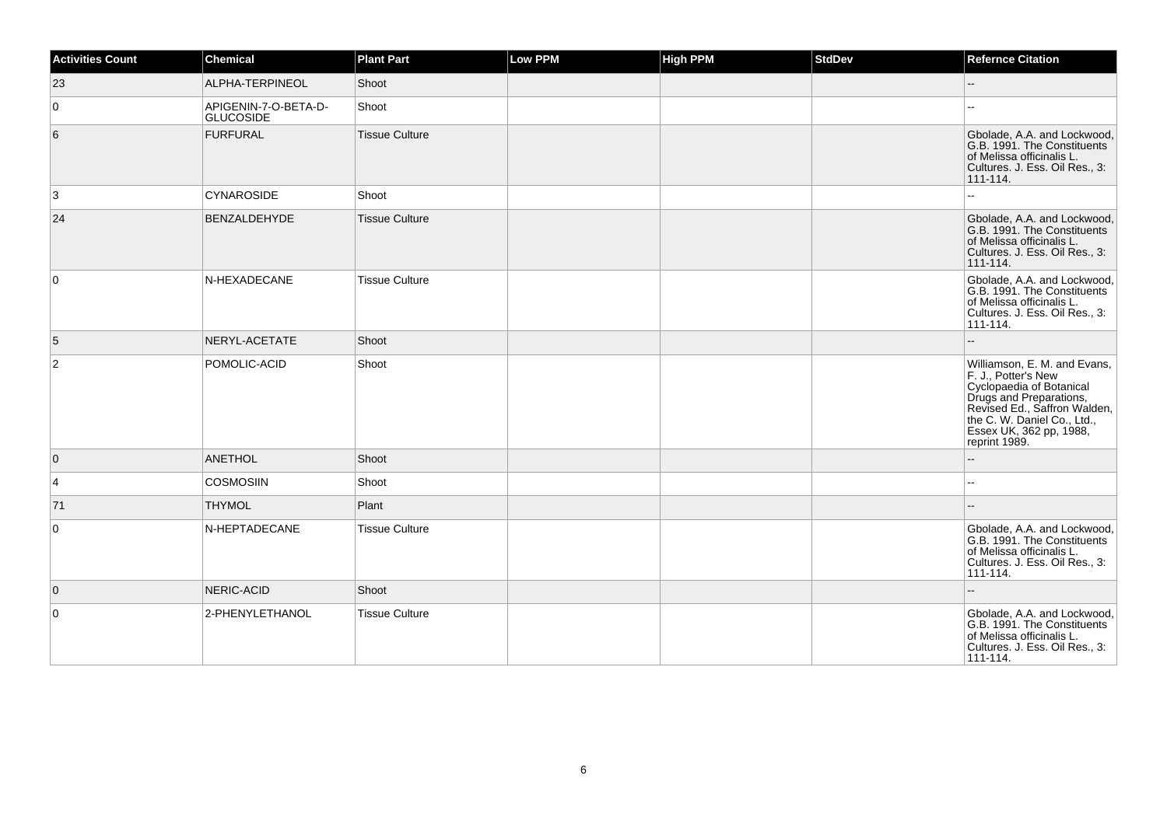| <b>Activities Count</b> | Chemical                                 | <b>Plant Part</b>     | Low PPM | <b>High PPM</b> | <b>StdDev</b> | <b>Refernce Citation</b>                                                                                                                                                                                              |
|-------------------------|------------------------------------------|-----------------------|---------|-----------------|---------------|-----------------------------------------------------------------------------------------------------------------------------------------------------------------------------------------------------------------------|
| 23                      | ALPHA-TERPINEOL                          | Shoot                 |         |                 |               |                                                                                                                                                                                                                       |
| $\overline{0}$          | APIGENIN-7-O-BETA-D-<br><b>GLUCOSIDE</b> | Shoot                 |         |                 |               |                                                                                                                                                                                                                       |
| 6                       | <b>FURFURAL</b>                          | <b>Tissue Culture</b> |         |                 |               | Gbolade, A.A. and Lockwood,<br>G.B. 1991. The Constituents<br>of Melissa officinalis L.<br>Cultures. J. Ess. Oil Res., 3:<br>111-114.                                                                                 |
| 3                       | <b>CYNAROSIDE</b>                        | Shoot                 |         |                 |               | $\overline{a}$                                                                                                                                                                                                        |
| 24                      | <b>BENZALDEHYDE</b>                      | <b>Tissue Culture</b> |         |                 |               | Gbolade, A.A. and Lockwood,<br>G.B. 1991. The Constituents<br>of Melissa officinalis L.<br>Cultures. J. Ess. Oil Res., 3:<br>111-114.                                                                                 |
| $\overline{0}$          | N-HEXADECANE                             | <b>Tissue Culture</b> |         |                 |               | Gbolade, A.A. and Lockwood,<br>G.B. 1991. The Constituents<br>of Melissa officinalis L.<br>Cultures. J. Ess. Oil Res., 3:<br>111-114.                                                                                 |
| 5                       | NERYL-ACETATE                            | Shoot                 |         |                 |               |                                                                                                                                                                                                                       |
| 2                       | POMOLIC-ACID                             | Shoot                 |         |                 |               | Williamson, E. M. and Evans,<br>F. J., Potter's New<br>Cyclopaedia of Botanical<br>Drugs and Preparations,<br>Revised Ed., Saffron Walden,<br>the C. W. Daniel Co., Ltd.,<br>Essex UK, 362 pp, 1988,<br>reprint 1989. |
| $\overline{0}$          | <b>ANETHOL</b>                           | Shoot                 |         |                 |               | $-$                                                                                                                                                                                                                   |
| $\overline{4}$          | <b>COSMOSIIN</b>                         | Shoot                 |         |                 |               |                                                                                                                                                                                                                       |
| 71                      | <b>THYMOL</b>                            | Plant                 |         |                 |               |                                                                                                                                                                                                                       |
| $\overline{0}$          | N-HEPTADECANE                            | <b>Tissue Culture</b> |         |                 |               | Gbolade, A.A. and Lockwood,<br>G.B. 1991. The Constituents<br>of Melissa officinalis L.<br>Cultures. J. Ess. Oil Res., 3:<br>111-114.                                                                                 |
| $\overline{0}$          | NERIC-ACID                               | Shoot                 |         |                 |               | $-$                                                                                                                                                                                                                   |
| $\overline{0}$          | 2-PHENYLETHANOL                          | <b>Tissue Culture</b> |         |                 |               | Gbolade, A.A. and Lockwood,<br>G.B. 1991. The Constituents<br>of Melissa officinalis L.<br>Cultures. J. Ess. Oil Res., 3:<br>111-114.                                                                                 |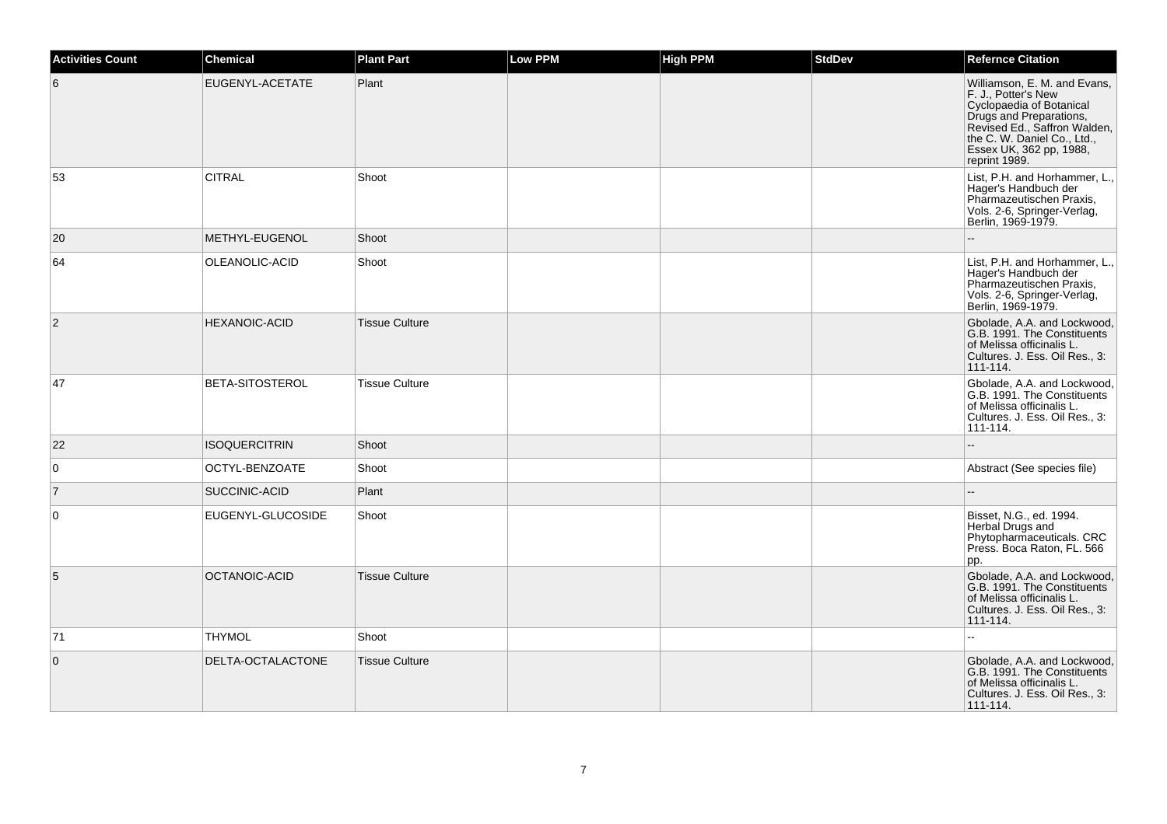| <b>Activities Count</b> | <b>Chemical</b>      | <b>Plant Part</b>     | Low PPM | <b>High PPM</b> | <b>StdDev</b> | <b>Refernce Citation</b>                                                                                                                                                                                              |
|-------------------------|----------------------|-----------------------|---------|-----------------|---------------|-----------------------------------------------------------------------------------------------------------------------------------------------------------------------------------------------------------------------|
| 6                       | EUGENYL-ACETATE      | Plant                 |         |                 |               | Williamson, E. M. and Evans,<br>F. J., Potter's New<br>Cyclopaedia of Botanical<br>Drugs and Preparations,<br>Revised Ed., Saffron Walden,<br>the C. W. Daniel Co., Ltd.,<br>Essex UK, 362 pp, 1988,<br>reprint 1989. |
| 53                      | <b>CITRAL</b>        | Shoot                 |         |                 |               | List, P.H. and Horhammer, L.,<br>Hager's Handbuch der<br>Pharmazeutischen Praxis,<br>Vols. 2-6, Springer-Verlag,<br>Berlin, 1969-1979.                                                                                |
| 20                      | METHYL-EUGENOL       | Shoot                 |         |                 |               |                                                                                                                                                                                                                       |
| 64                      | OLEANOLIC-ACID       | Shoot                 |         |                 |               | List, P.H. and Horhammer, L.,<br>Hager's Handbuch der<br>Pharmazeutischen Praxis,<br>Vols. 2-6, Springer-Verlag,<br>Berlin, 1969-1979.                                                                                |
| $\overline{2}$          | <b>HEXANOIC-ACID</b> | <b>Tissue Culture</b> |         |                 |               | Gbolade, A.A. and Lockwood,<br>G.B. 1991. The Constituents<br>of Melissa officinalis L.<br>Cultures. J. Ess. Oil Res., 3:<br>111-114.                                                                                 |
| 47                      | BETA-SITOSTEROL      | <b>Tissue Culture</b> |         |                 |               | Gbolade, A.A. and Lockwood,<br>G.B. 1991. The Constituents<br>of Melissa officinalis L.<br>Cultures. J. Ess. Oil Res., 3:<br>111-114.                                                                                 |
| 22                      | <b>ISOQUERCITRIN</b> | Shoot                 |         |                 |               |                                                                                                                                                                                                                       |
| $\overline{0}$          | OCTYL-BENZOATE       | Shoot                 |         |                 |               | Abstract (See species file)                                                                                                                                                                                           |
| $\overline{7}$          | SUCCINIC-ACID        | Plant                 |         |                 |               | $\overline{a}$                                                                                                                                                                                                        |
| $\overline{0}$          | EUGENYL-GLUCOSIDE    | Shoot                 |         |                 |               | Bisset, N.G., ed. 1994.<br>Herbal Drugs and<br>Phytopharmaceuticals. CRC<br>Press. Boca Raton, FL. 566<br>pp.                                                                                                         |
| 5                       | OCTANOIC-ACID        | <b>Tissue Culture</b> |         |                 |               | Gbolade, A.A. and Lockwood,<br>G.B. 1991. The Constituents<br>of Melissa officinalis L.<br>Cultures. J. Ess. Oil Res., 3:<br>111-114.                                                                                 |
| 71                      | <b>THYMOL</b>        | Shoot                 |         |                 |               |                                                                                                                                                                                                                       |
| $\overline{0}$          | DELTA-OCTALACTONE    | <b>Tissue Culture</b> |         |                 |               | Gbolade, A.A. and Lockwood.<br>G.B. 1991. The Constituents<br>of Melissa officinalis L.<br>Cultures. J. Ess. Oil Res., 3:<br>111-114.                                                                                 |